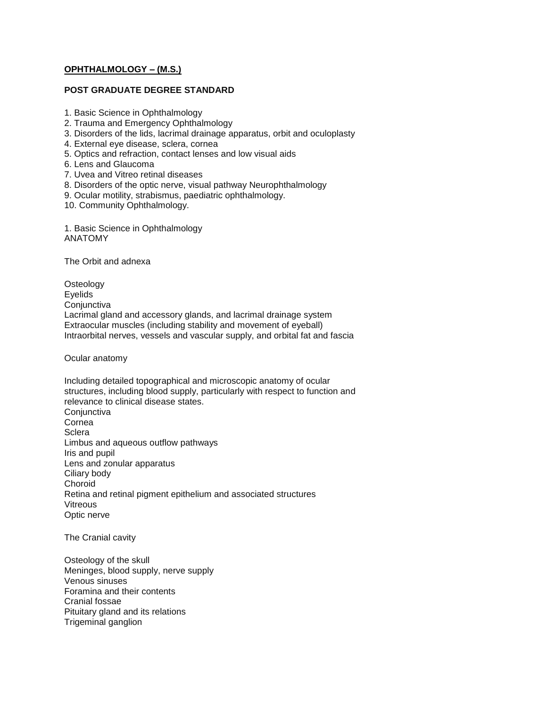# **[OPHTHALMOLOGY –](http://tnpsc.gov.in/optha.htm) (M.S.)**

# **POST GRADUATE DEGREE STANDARD**

- 1. Basic Science in Ophthalmology
- 2. Trauma and Emergency Ophthalmology
- 3. Disorders of the lids, lacrimal drainage apparatus, orbit and oculoplasty
- 4. External eye disease, sclera, cornea
- 5. Optics and refraction, contact lenses and low visual aids
- 6. Lens and Glaucoma
- 7. Uvea and Vitreo retinal diseases
- 8. Disorders of the optic nerve, visual pathway Neurophthalmology
- 9. Ocular motility, strabismus, paediatric ophthalmology.
- 10. Community Ophthalmology.
- 1. Basic Science in Ophthalmology ANATOMY

The Orbit and adnexa

**Osteology** Eyelids **Conjunctiva** Lacrimal gland and accessory glands, and lacrimal drainage system Extraocular muscles (including stability and movement of eyeball) Intraorbital nerves, vessels and vascular supply, and orbital fat and fascia

Ocular anatomy

Including detailed topographical and microscopic anatomy of ocular structures, including blood supply, particularly with respect to function and relevance to clinical disease states. **Conjunctiva** Cornea **Sclera** Limbus and aqueous outflow pathways Iris and pupil Lens and zonular apparatus Ciliary body **Choroid** Retina and retinal pigment epithelium and associated structures **Vitreous** Optic nerve

The Cranial cavity

Osteology of the skull Meninges, blood supply, nerve supply Venous sinuses Foramina and their contents Cranial fossae Pituitary gland and its relations Trigeminal ganglion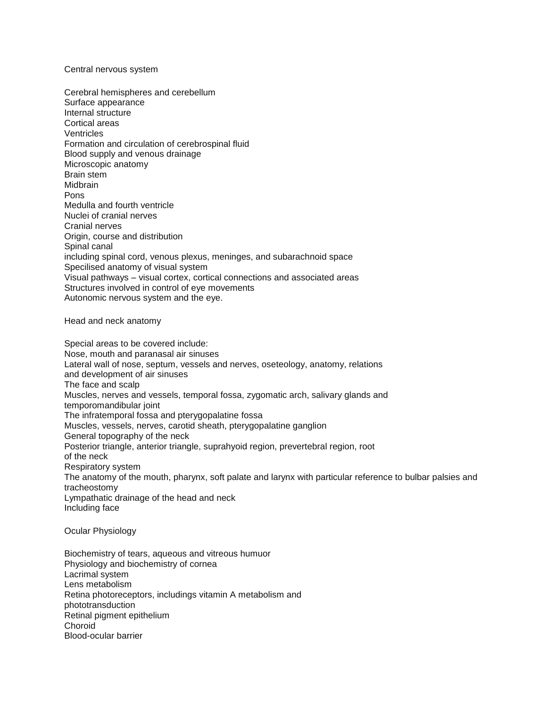#### Central nervous system

Cerebral hemispheres and cerebellum Surface appearance Internal structure Cortical areas **Ventricles** Formation and circulation of cerebrospinal fluid Blood supply and venous drainage Microscopic anatomy Brain stem **Midhrain** Pons Medulla and fourth ventricle Nuclei of cranial nerves Cranial nerves Origin, course and distribution Spinal canal including spinal cord, venous plexus, meninges, and subarachnoid space Specilised anatomy of visual system Visual pathways – visual cortex, cortical connections and associated areas Structures involved in control of eye movements Autonomic nervous system and the eye.

Head and neck anatomy

Special areas to be covered include: Nose, mouth and paranasal air sinuses Lateral wall of nose, septum, vessels and nerves, oseteology, anatomy, relations and development of air sinuses The face and scalp Muscles, nerves and vessels, temporal fossa, zygomatic arch, salivary glands and temporomandibular joint The infratemporal fossa and pterygopalatine fossa Muscles, vessels, nerves, carotid sheath, pterygopalatine ganglion General topography of the neck Posterior triangle, anterior triangle, suprahyoid region, prevertebral region, root of the neck Respiratory system The anatomy of the mouth, pharynx, soft palate and larynx with particular reference to bulbar palsies and tracheostomy Lympathatic drainage of the head and neck Including face

Ocular Physiology

Biochemistry of tears, aqueous and vitreous humuor Physiology and biochemistry of cornea Lacrimal system Lens metabolism Retina photoreceptors, includings vitamin A metabolism and phototransduction Retinal pigment epithelium Choroid Blood-ocular barrier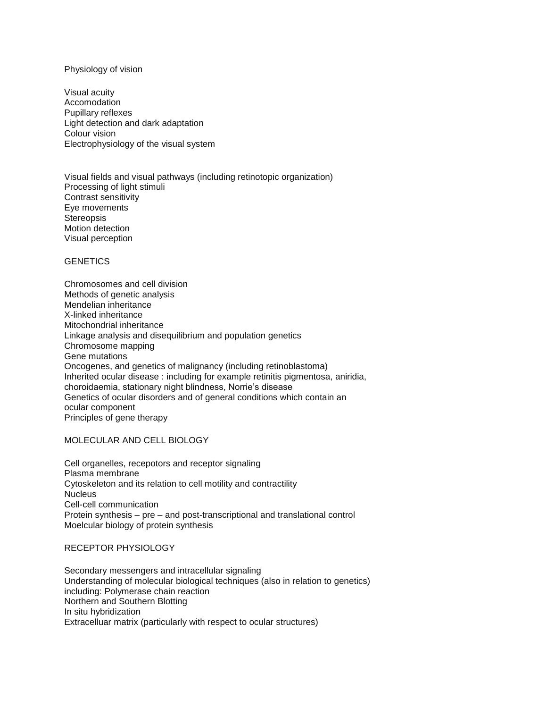## Physiology of vision

Visual acuity Accomodation Pupillary reflexes Light detection and dark adaptation Colour vision Electrophysiology of the visual system

Visual fields and visual pathways (including retinotopic organization) Processing of light stimuli Contrast sensitivity Eye movements **Stereopsis** Motion detection Visual perception

# **GENETICS**

Chromosomes and cell division Methods of genetic analysis Mendelian inheritance X-linked inheritance Mitochondrial inheritance Linkage analysis and disequilibrium and population genetics Chromosome mapping Gene mutations Oncogenes, and genetics of malignancy (including retinoblastoma) Inherited ocular disease : including for example retinitis pigmentosa, aniridia, choroidaemia, stationary night blindness, Norrie's disease Genetics of ocular disorders and of general conditions which contain an ocular component Principles of gene therapy

## MOLECULAR AND CELL BIOLOGY

Cell organelles, recepotors and receptor signaling Plasma membrane Cytoskeleton and its relation to cell motility and contractility **Nucleus** Cell-cell communication Protein synthesis – pre – and post-transcriptional and translational control Moelcular biology of protein synthesis

## RECEPTOR PHYSIOLOGY

Secondary messengers and intracellular signaling Understanding of molecular biological techniques (also in relation to genetics) including: Polymerase chain reaction Northern and Southern Blotting In situ hybridization Extracelluar matrix (particularly with respect to ocular structures)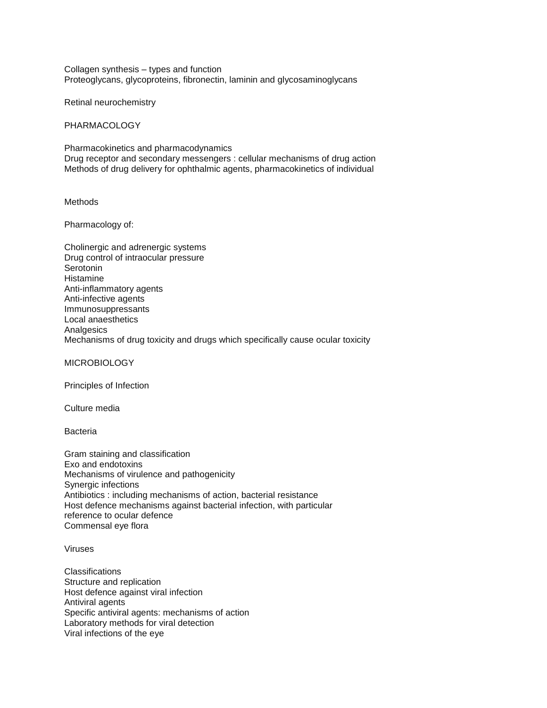Collagen synthesis – types and function Proteoglycans, glycoproteins, fibronectin, laminin and glycosaminoglycans

Retinal neurochemistry

PHARMACOLOGY

Pharmacokinetics and pharmacodynamics Drug receptor and secondary messengers : cellular mechanisms of drug action Methods of drug delivery for ophthalmic agents, pharmacokinetics of individual

Methods

Pharmacology of:

Cholinergic and adrenergic systems Drug control of intraocular pressure Serotonin Histamine Anti-inflammatory agents Anti-infective agents Immunosuppressants Local anaesthetics **Analgesics** Mechanisms of drug toxicity and drugs which specifically cause ocular toxicity

MICROBIOLOGY

Principles of Infection

Culture media

Bacteria

Gram staining and classification Exo and endotoxins Mechanisms of virulence and pathogenicity Synergic infections Antibiotics : including mechanisms of action, bacterial resistance Host defence mechanisms against bacterial infection, with particular reference to ocular defence Commensal eye flora

Viruses

**Classifications** Structure and replication Host defence against viral infection Antiviral agents Specific antiviral agents: mechanisms of action Laboratory methods for viral detection Viral infections of the eye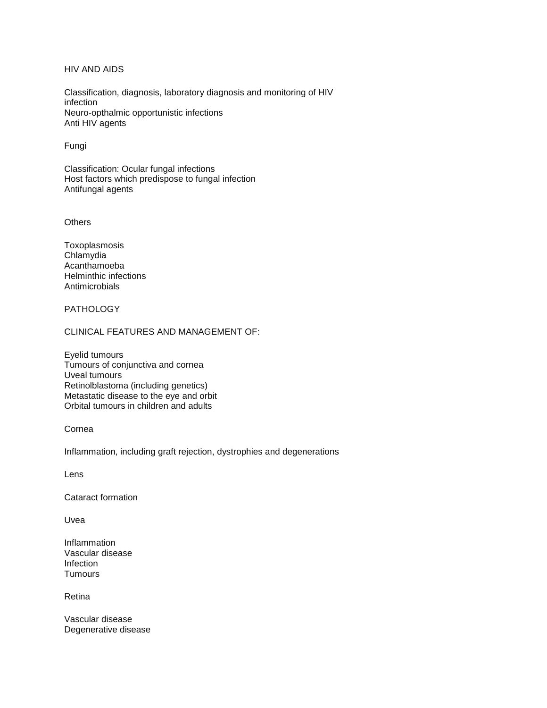HIV AND AIDS

Classification, diagnosis, laboratory diagnosis and monitoring of HIV infection Neuro-opthalmic opportunistic infections Anti HIV agents

Fungi

Classification: Ocular fungal infections Host factors which predispose to fungal infection Antifungal agents

**Others** 

Toxoplasmosis Chlamydia Acanthamoeba Helminthic infections Antimicrobials

**PATHOLOGY** 

CLINICAL FEATURES AND MANAGEMENT OF:

Eyelid tumours Tumours of conjunctiva and cornea Uveal tumours Retinolblastoma (including genetics) Metastatic disease to the eye and orbit Orbital tumours in children and adults

Cornea

Inflammation, including graft rejection, dystrophies and degenerations

Lens

Cataract formation

Uvea

Inflammation Vascular disease Infection **Tumours** 

Retina

Vascular disease Degenerative disease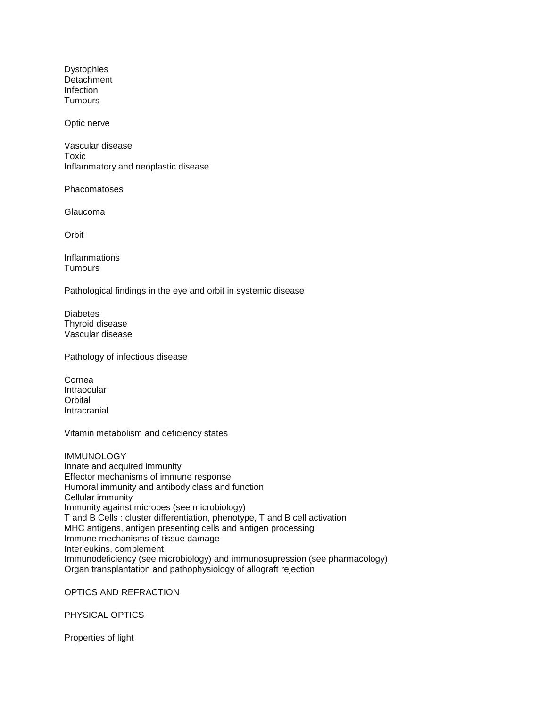Dystophies **Detachment** Infection **Tumours** 

Optic nerve

Vascular disease Toxic Inflammatory and neoplastic disease

Phacomatoses

Glaucoma

**Orbit** 

Inflammations **Tumours** 

Pathological findings in the eye and orbit in systemic disease

**Diabetes** Thyroid disease Vascular disease

Pathology of infectious disease

Cornea Intraocular **Orbital** Intracranial

Vitamin metabolism and deficiency states

**IMMUNOLOGY** Innate and acquired immunity Effector mechanisms of immune response Humoral immunity and antibody class and function Cellular immunity Immunity against microbes (see microbiology) T and B Cells : cluster differentiation, phenotype, T and B cell activation MHC antigens, antigen presenting cells and antigen processing Immune mechanisms of tissue damage Interleukins, complement Immunodeficiency (see microbiology) and immunosupression (see pharmacology) Organ transplantation and pathophysiology of allograft rejection

OPTICS AND REFRACTION

PHYSICAL OPTICS

Properties of light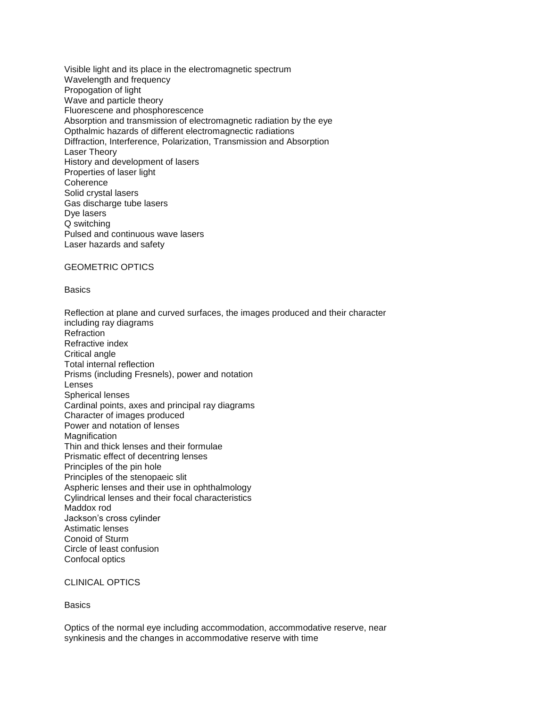Visible light and its place in the electromagnetic spectrum Wavelength and frequency Propogation of light Wave and particle theory Fluorescene and phosphorescence Absorption and transmission of electromagnetic radiation by the eye Opthalmic hazards of different electromagnectic radiations Diffraction, Interference, Polarization, Transmission and Absorption Laser Theory History and development of lasers Properties of laser light **Coherence** Solid crystal lasers Gas discharge tube lasers Dye lasers Q switching Pulsed and continuous wave lasers Laser hazards and safety

#### GEOMETRIC OPTICS

#### **Basics**

Reflection at plane and curved surfaces, the images produced and their character including ray diagrams **Refraction** Refractive index Critical angle Total internal reflection Prisms (including Fresnels), power and notation Lenses Spherical lenses Cardinal points, axes and principal ray diagrams Character of images produced Power and notation of lenses Magnification Thin and thick lenses and their formulae Prismatic effect of decentring lenses Principles of the pin hole Principles of the stenopaeic slit Aspheric lenses and their use in ophthalmology Cylindrical lenses and their focal characteristics Maddox rod Jackson's cross cylinder Astimatic lenses Conoid of Sturm Circle of least confusion Confocal optics

#### CLINICAL OPTICS

**Basics** 

Optics of the normal eye including accommodation, accommodative reserve, near synkinesis and the changes in accommodative reserve with time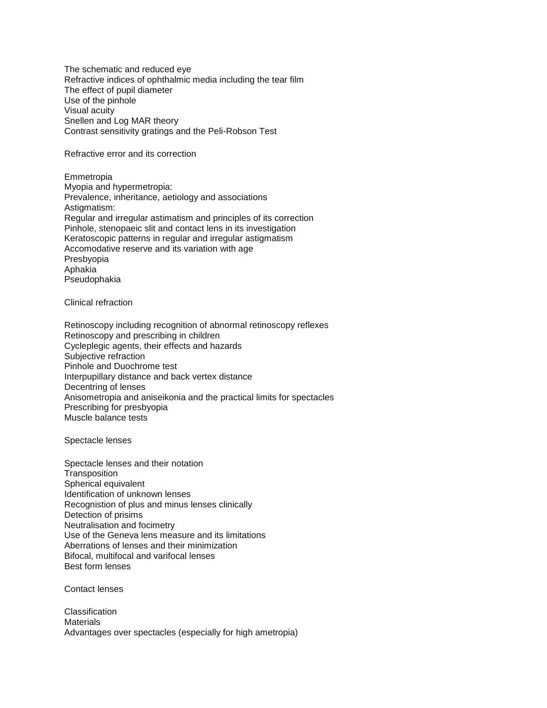The schematic and reduced eye Refractive indices of ophthalmic media including the tear film The effect of pupil diameter Use of the pinhole Visual acuity Snellen and Log MAR theory Contrast sensitivity gratings and the Peli-Robson Test

## Refractive error and its correction

Emmetropia Myopia and hypermetropia: Prevalence, inheritance, aetiology and associations Astigmatism: Regular and irregular astimatism and principles of its correction Pinhole, stenopaeic slit and contact lens in its investigation Keratoscopic patterns in regular and irregular astigmatism Accomodative reserve and its variation with age Presbyopia Aphakia Pseudophakia

Clinical refraction

Retinoscopy including recognition of abnormal retinoscopy reflexes Retinoscopy and prescribing in children Cycleplegic agents, their effects and hazards Subjective refraction Pinhole and Duochrome test Interpupillary distance and back vertex distance Decentring of lenses Anisometropia and aniseikonia and the practical limits for spectacles Prescribing for presbyopia Muscle balance tests

Spectacle lenses

Spectacle lenses and their notation **Transposition** Spherical equivalent Identification of unknown lenses Recognistion of plus and minus lenses clinically Detection of prisims Neutralisation and focimetry Use of the Geneva lens measure and its limitations Aberrations of lenses and their minimization Bifocal, multifocal and varifocal lenses Best form lenses

Contact lenses

Classification **Materials** Advantages over spectacles (especially for high ametropia)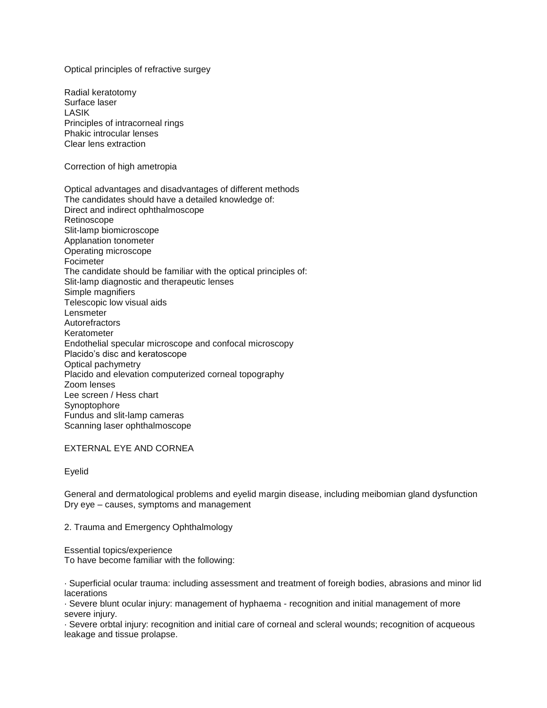Optical principles of refractive surgey

Radial keratotomy Surface laser LASIK Principles of intracorneal rings Phakic introcular lenses Clear lens extraction Correction of high ametropia Optical advantages and disadvantages of different methods The candidates should have a detailed knowledge of: Direct and indirect ophthalmoscope Retinoscope Slit-lamp biomicroscope Applanation tonometer Operating microscope Focimeter The candidate should be familiar with the optical principles of: Slit-lamp diagnostic and therapeutic lenses Simple magnifiers Telescopic low visual aids Lensmeter **Autorefractors** Keratometer Endothelial specular microscope and confocal microscopy Placido's disc and keratoscope Optical pachymetry Placido and elevation computerized corneal topography Zoom lenses Lee screen / Hess chart Synoptophore Fundus and slit-lamp cameras Scanning laser ophthalmoscope

## EXTERNAL EYE AND CORNEA

Eyelid

General and dermatological problems and eyelid margin disease, including meibomian gland dysfunction Dry eye – causes, symptoms and management

2. Trauma and Emergency Ophthalmology

Essential topics/experience To have become familiar with the following:

· Superficial ocular trauma: including assessment and treatment of foreigh bodies, abrasions and minor lid lacerations

· Severe blunt ocular injury: management of hyphaema - recognition and initial management of more severe injury.

· Severe orbtal injury: recognition and initial care of corneal and scleral wounds; recognition of acqueous leakage and tissue prolapse.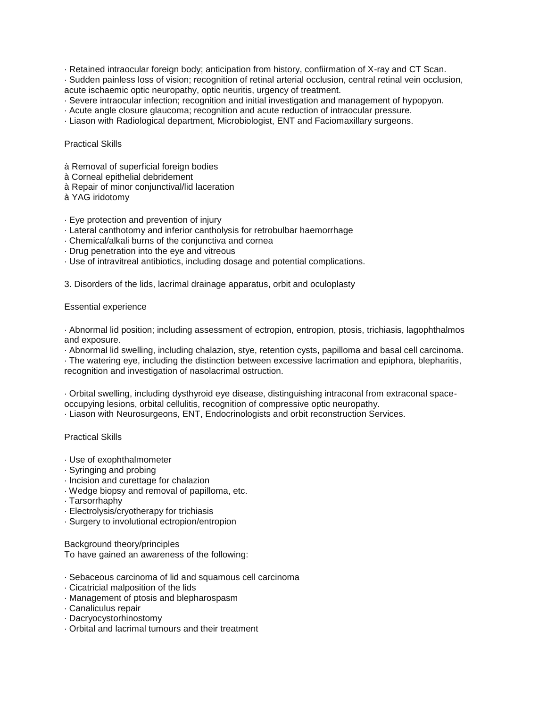· Retained intraocular foreign body; anticipation from history, confiirmation of X-ray and CT Scan.

· Sudden painless loss of vision; recognition of retinal arterial occlusion, central retinal vein occlusion, acute ischaemic optic neuropathy, optic neuritis, urgency of treatment.

- · Severe intraocular infection; recognition and initial investigation and management of hypopyon.
- · Acute angle closure glaucoma; recognition and acute reduction of intraocular pressure.
- · Liason with Radiological department, Microbiologist, ENT and Faciomaxillary surgeons.

#### Practical Skills

- à Removal of superficial foreign bodies
- à Corneal epithelial debridement
- à Repair of minor conjunctival/lid laceration
- à YAG iridotomy
- · Eye protection and prevention of injury
- · Lateral canthotomy and inferior cantholysis for retrobulbar haemorrhage
- · Chemical/alkali burns of the conjunctiva and cornea
- · Drug penetration into the eye and vitreous
- · Use of intravitreal antibiotics, including dosage and potential complications.

3. Disorders of the lids, lacrimal drainage apparatus, orbit and oculoplasty

#### Essential experience

· Abnormal lid position; including assessment of ectropion, entropion, ptosis, trichiasis, lagophthalmos and exposure.

· Abnormal lid swelling, including chalazion, stye, retention cysts, papilloma and basal cell carcinoma.

· The watering eye, including the distinction between excessive lacrimation and epiphora, blepharitis, recognition and investigation of nasolacrimal ostruction.

· Orbital swelling, including dysthyroid eye disease, distinguishing intraconal from extraconal spaceoccupying lesions, orbital cellulitis, recognition of compressive optic neuropathy.

· Liason with Neurosurgeons, ENT, Endocrinologists and orbit reconstruction Services.

#### Practical Skills

- · Use of exophthalmometer
- · Syringing and probing
- · Incision and curettage for chalazion
- · Wedge biopsy and removal of papilloma, etc.
- · Tarsorrhaphy
- · Electrolysis/cryotherapy for trichiasis
- · Surgery to involutional ectropion/entropion

Background theory/principles To have gained an awareness of the following:

- · Sebaceous carcinoma of lid and squamous cell carcinoma
- · Cicatricial malposition of the lids
- · Management of ptosis and blepharospasm
- · Canaliculus repair
- · Dacryocystorhinostomy
- · Orbital and lacrimal tumours and their treatment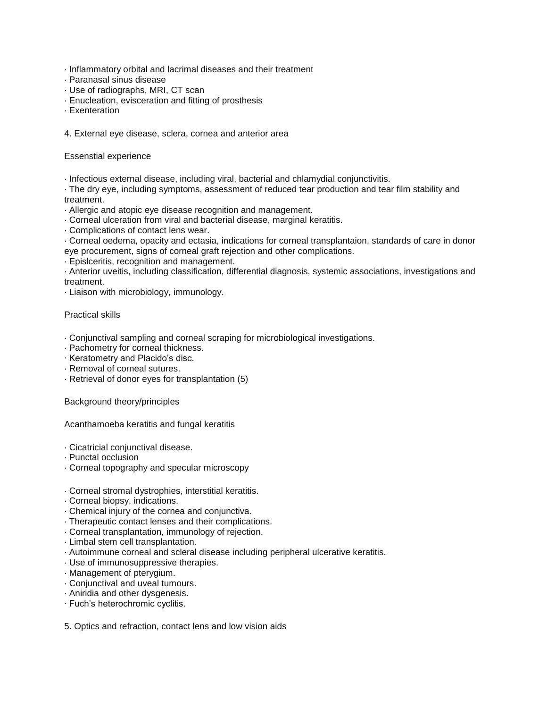- · Inflammatory orbital and lacrimal diseases and their treatment
- · Paranasal sinus disease
- · Use of radiographs, MRI, CT scan
- · Enucleation, evisceration and fitting of prosthesis
- · Exenteration

4. External eye disease, sclera, cornea and anterior area

Essenstial experience

· Infectious external disease, including viral, bacterial and chlamydial conjunctivitis.

· The dry eye, including symptoms, assessment of reduced tear production and tear film stability and treatment.

· Allergic and atopic eye disease recognition and management.

· Corneal ulceration from viral and bacterial disease, marginal keratitis.

· Complications of contact lens wear.

· Corneal oedema, opacity and ectasia, indications for corneal transplantaion, standards of care in donor eye procurement, signs of corneal graft rejection and other complications.

· Epislceritis, recognition and management.

· Anterior uveitis, including classification, differential diagnosis, systemic associations, investigations and treatment.

· Liaison with microbiology, immunology.

# Practical skills

- · Conjunctival sampling and corneal scraping for microbiological investigations.
- · Pachometry for corneal thickness.
- · Keratometry and Placido's disc.
- · Removal of corneal sutures.
- · Retrieval of donor eyes for transplantation (5)

Background theory/principles

Acanthamoeba keratitis and fungal keratitis

- · Cicatricial conjunctival disease.
- · Punctal occlusion
- · Corneal topography and specular microscopy
- · Corneal stromal dystrophies, interstitial keratitis.
- · Corneal biopsy, indications.
- · Chemical injury of the cornea and conjunctiva.
- · Therapeutic contact lenses and their complications.
- · Corneal transplantation, immunology of rejection.
- · Limbal stem cell transplantation.
- · Autoimmune corneal and scleral disease including peripheral ulcerative keratitis.
- · Use of immunosuppressive therapies.
- · Management of pterygium.
- · Conjunctival and uveal tumours.
- · Aniridia and other dysgenesis.
- · Fuch's heterochromic cyclitis.

5. Optics and refraction, contact lens and low vision aids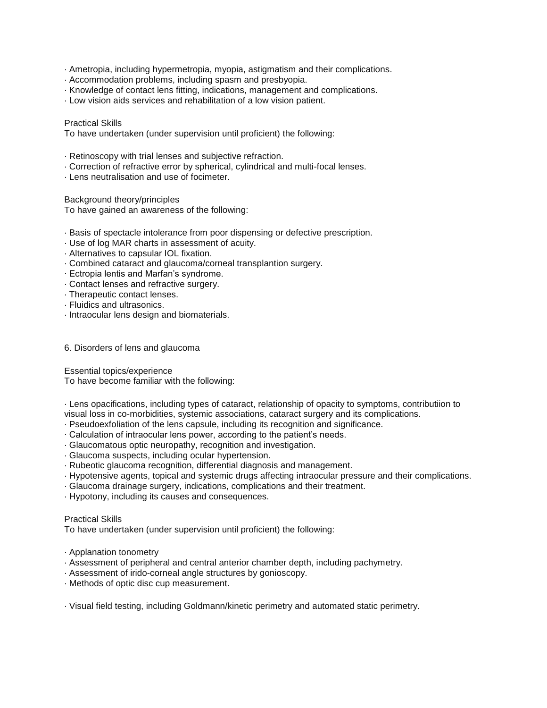- · Ametropia, including hypermetropia, myopia, astigmatism and their complications.
- · Accommodation problems, including spasm and presbyopia.
- · Knowledge of contact lens fitting, indications, management and complications.
- · Low vision aids services and rehabilitation of a low vision patient.

#### Practical Skills

To have undertaken (under supervision until proficient) the following:

- · Retinoscopy with trial lenses and subjective refraction.
- · Correction of refractive error by spherical, cylindrical and multi-focal lenses.
- · Lens neutralisation and use of focimeter.

Background theory/principles

To have gained an awareness of the following:

- · Basis of spectacle intolerance from poor dispensing or defective prescription.
- · Use of log MAR charts in assessment of acuity.
- · Alternatives to capsular IOL fixation.
- · Combined cataract and glaucoma/corneal transplantion surgery.
- · Ectropia lentis and Marfan's syndrome.
- · Contact lenses and refractive surgery.
- · Therapeutic contact lenses.
- · Fluidics and ultrasonics.
- · Intraocular lens design and biomaterials.
- 6. Disorders of lens and glaucoma

Essential topics/experience To have become familiar with the following:

· Lens opacifications, including types of cataract, relationship of opacity to symptoms, contributiion to visual loss in co-morbidities, systemic associations, cataract surgery and its complications.

- · Pseudoexfoliation of the lens capsule, including its recognition and significance.
- · Calculation of intraocular lens power, according to the patient's needs.
- · Glaucomatous optic neuropathy, recognition and investigation.
- · Glaucoma suspects, including ocular hypertension.
- · Rubeotic glaucoma recognition, differential diagnosis and management.
- · Hypotensive agents, topical and systemic drugs affecting intraocular pressure and their complications.
- · Glaucoma drainage surgery, indications, complications and their treatment.
- · Hypotony, including its causes and consequences.

## Practical Skills

To have undertaken (under supervision until proficient) the following:

- · Applanation tonometry
- · Assessment of peripheral and central anterior chamber depth, including pachymetry.
- · Assessment of irido-corneal angle structures by gonioscopy.
- · Methods of optic disc cup measurement.

· Visual field testing, including Goldmann/kinetic perimetry and automated static perimetry.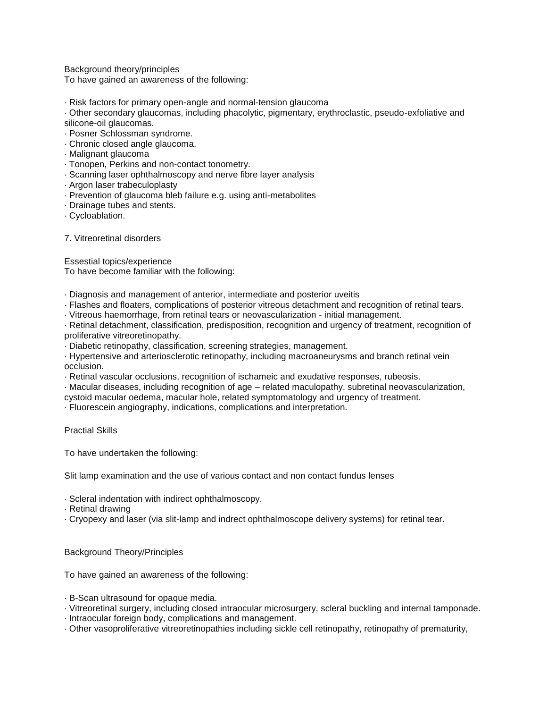Background theory/principles

To have gained an awareness of the following:

· Risk factors for primary open-angle and normal-tension glaucoma

· Other secondary glaucomas, including phacolytic, pigmentary, erythroclastic, pseudo-exfoliative and silicone-oil glaucomas.

- · Posner Schlossman syndrome.
- · Chronic closed angle glaucoma.
- · Malignant glaucoma
- · Tonopen, Perkins and non-contact tonometry.
- · Scanning laser ophthalmoscopy and nerve fibre layer analysis
- · Argon laser trabeculoplasty
- · Prevention of glaucoma bleb failure e.g. using anti-metabolites
- · Drainage tubes and stents.
- · Cycloablation.

7. Vitreoretinal disorders

Essestial topics/experience To have become familiar with the following:

· Diagnosis and management of anterior, intermediate and posterior uveitis

- · Flashes and floaters, complications of posterior vitreous detachment and recognition of retinal tears.
- · Vitreous haemorrhage, from retinal tears or neovascularization initial management.

· Retinal detachment, classification, predisposition, recognition and urgency of treatment, recognition of proliferative vitreoretinopathy.

· Diabetic retinopathy, classification, screening strategies, management.

· Hypertensive and arteriosclerotic retinopathy, including macroaneurysms and branch retinal vein occlusion.

· Retinal vascular occlusions, recognition of ischameic and exudative responses, rubeosis.

· Macular diseases, including recognition of age – related maculopathy, subretinal neovascularization,

cystoid macular oedema, macular hole, related symptomatology and urgency of treatment.

· Fluorescein angiography, indications, complications and interpretation.

Practial Skills

To have undertaken the following:

Slit lamp examination and the use of various contact and non contact fundus lenses

· Scleral indentation with indirect ophthalmoscopy.

· Retinal drawing

· Cryopexy and laser (via slit-lamp and indrect ophthalmoscope delivery systems) for retinal tear.

## Background Theory/Principles

To have gained an awareness of the following:

- · B-Scan ultrasound for opaque media.
- · Vitreoretinal surgery, including closed intraocular microsurgery, scleral buckling and internal tamponade.
- · Intraocular foreign body, complications and management.
- · Other vasoproliferative vitreoretinopathies including sickle cell retinopathy, retinopathy of prematurity,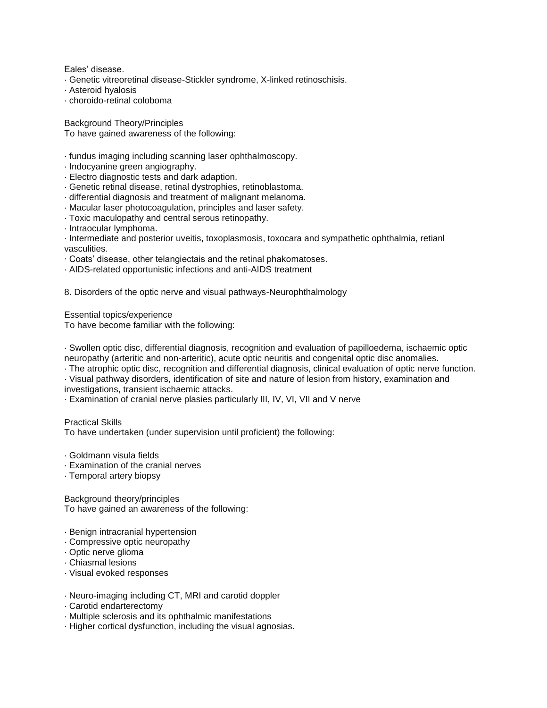Eales' disease.

- · Genetic vitreoretinal disease-Stickler syndrome, X-linked retinoschisis.
- · Asteroid hyalosis
- · choroido-retinal coloboma

Background Theory/Principles To have gained awareness of the following:

- · fundus imaging including scanning laser ophthalmoscopy.
- · Indocyanine green angiography.
- · Electro diagnostic tests and dark adaption.
- · Genetic retinal disease, retinal dystrophies, retinoblastoma.
- · differential diagnosis and treatment of malignant melanoma.
- · Macular laser photocoagulation, principles and laser safety.
- · Toxic maculopathy and central serous retinopathy.
- · Intraocular lymphoma.
- · Intermediate and posterior uveitis, toxoplasmosis, toxocara and sympathetic ophthalmia, retianl vasculities.
- · Coats' disease, other telangiectais and the retinal phakomatoses.
- · AIDS-related opportunistic infections and anti-AIDS treatment

8. Disorders of the optic nerve and visual pathways-Neurophthalmology

Essential topics/experience

To have become familiar with the following:

· Swollen optic disc, differential diagnosis, recognition and evaluation of papilloedema, ischaemic optic neuropathy (arteritic and non-arteritic), acute optic neuritis and congenital optic disc anomalies.

· The atrophic optic disc, recognition and differential diagnosis, clinical evaluation of optic nerve function.

· Visual pathway disorders, identification of site and nature of lesion from history, examination and investigations, transient ischaemic attacks.

· Examination of cranial nerve plasies particularly III, IV, VI, VII and V nerve

Practical Skills

To have undertaken (under supervision until proficient) the following:

- · Goldmann visula fields
- · Examination of the cranial nerves
- · Temporal artery biopsy

Background theory/principles To have gained an awareness of the following:

- · Benign intracranial hypertension
- · Compressive optic neuropathy
- · Optic nerve glioma
- · Chiasmal lesions
- · Visual evoked responses
- · Neuro-imaging including CT, MRI and carotid doppler
- · Carotid endarterectomy
- · Multiple sclerosis and its ophthalmic manifestations
- · Higher cortical dysfunction, including the visual agnosias.